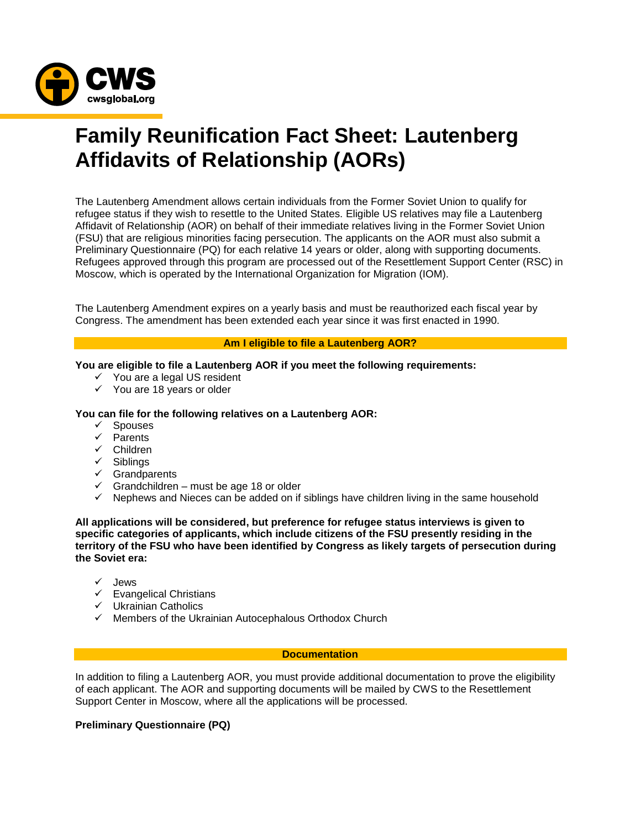

# **Family Reunification Fact Sheet: Lautenberg Affidavits of Relationship (AORs)**

The Lautenberg Amendment allows certain individuals from the Former Soviet Union to qualify for refugee status if they wish to resettle to the United States. Eligible US relatives may file a Lautenberg Affidavit of Relationship (AOR) on behalf of their immediate relatives living in the Former Soviet Union (FSU) that are religious minorities facing persecution. The applicants on the AOR must also submit a Preliminary Questionnaire (PQ) for each relative 14 years or older, along with supporting documents. Refugees approved through this program are processed out of the Resettlement Support Center (RSC) in Moscow, which is operated by the International Organization for Migration (IOM).

The Lautenberg Amendment expires on a yearly basis and must be reauthorized each fiscal year by Congress. The amendment has been extended each year since it was first enacted in 1990.

# **Am I eligible to file a Lautenberg AOR?**

### **You are eligible to file a Lautenberg AOR if you meet the following requirements:**

- $\checkmark$  You are a legal US resident
- $\checkmark$  You are 18 years or older

# **You can file for the following relatives on a Lautenberg AOR:**

- $\checkmark$  Spouses
- $\checkmark$  Parents
- Children
- $\checkmark$  Siblings
- $\checkmark$  Grandparents
- $\checkmark$  Grandchildren must be age 18 or older
- $\checkmark$  Nephews and Nieces can be added on if siblings have children living in the same household

**All applications will be considered, but preference for refugee status interviews is given to specific categories of applicants, which include citizens of the FSU presently residing in the territory of the FSU who have been identified by Congress as likely targets of persecution during the Soviet era:**

- $\checkmark$  Jews
- $\checkmark$  Evangelical Christians
- $\checkmark$  Ukrainian Catholics
- $\checkmark$  Members of the Ukrainian Autocephalous Orthodox Church

#### **Documentation**

In addition to filing a Lautenberg AOR, you must provide additional documentation to prove the eligibility of each applicant. The AOR and supporting documents will be mailed by CWS to the Resettlement Support Center in Moscow, where all the applications will be processed.

# **Preliminary Questionnaire (PQ)**